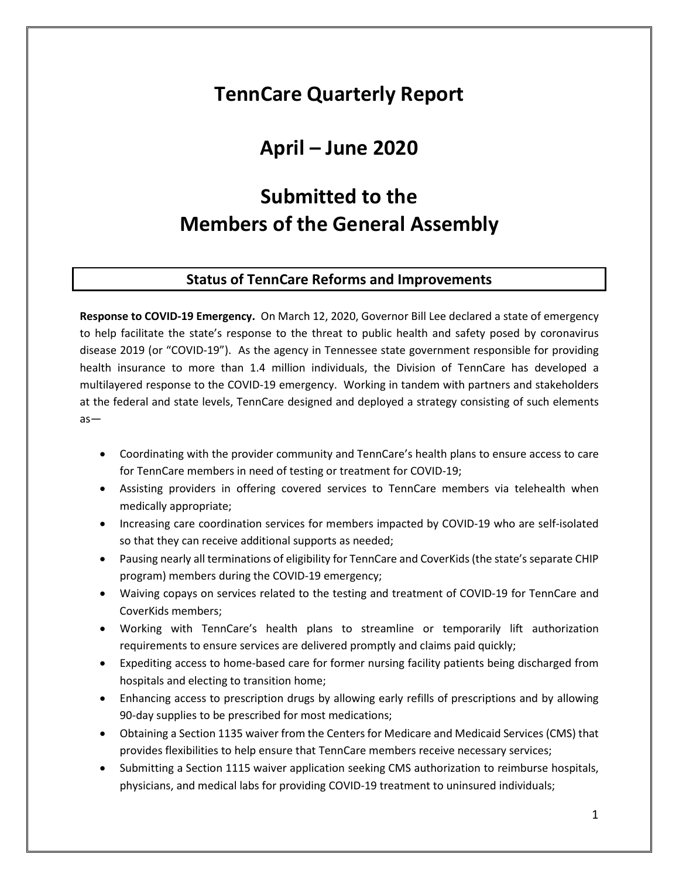## **TennCare Quarterly Report**

# **April – June 2020**

# **Submitted to the Members of the General Assembly**

## **Status of TennCare Reforms and Improvements**

**Response to COVID-19 Emergency.** On March 12, 2020, Governor Bill Lee declared a state of emergency to help facilitate the state's response to the threat to public health and safety posed by coronavirus disease 2019 (or "COVID-19"). As the agency in Tennessee state government responsible for providing health insurance to more than 1.4 million individuals, the Division of TennCare has developed a multilayered response to the COVID-19 emergency. Working in tandem with partners and stakeholders at the federal and state levels, TennCare designed and deployed a strategy consisting of such elements as—

- Coordinating with the provider community and TennCare's health plans to ensure access to care for TennCare members in need of testing or treatment for COVID-19;
- Assisting providers in offering covered services to TennCare members via telehealth when medically appropriate;
- Increasing care coordination services for members impacted by COVID-19 who are self-isolated so that they can receive additional supports as needed;
- Pausing nearly all terminations of eligibility for TennCare and CoverKids (the state's separate CHIP program) members during the COVID-19 emergency;
- Waiving copays on services related to the testing and treatment of COVID-19 for TennCare and CoverKids members;
- Working with TennCare's health plans to streamline or temporarily lift authorization requirements to ensure services are delivered promptly and claims paid quickly;
- Expediting access to home-based care for former nursing facility patients being discharged from hospitals and electing to transition home;
- Enhancing access to prescription drugs by allowing early refills of prescriptions and by allowing 90-day supplies to be prescribed for most medications;
- Obtaining a Section 1135 waiver from the Centers for Medicare and Medicaid Services (CMS) that provides flexibilities to help ensure that TennCare members receive necessary services;
- Submitting a Section 1115 waiver application seeking CMS authorization to reimburse hospitals, physicians, and medical labs for providing COVID-19 treatment to uninsured individuals;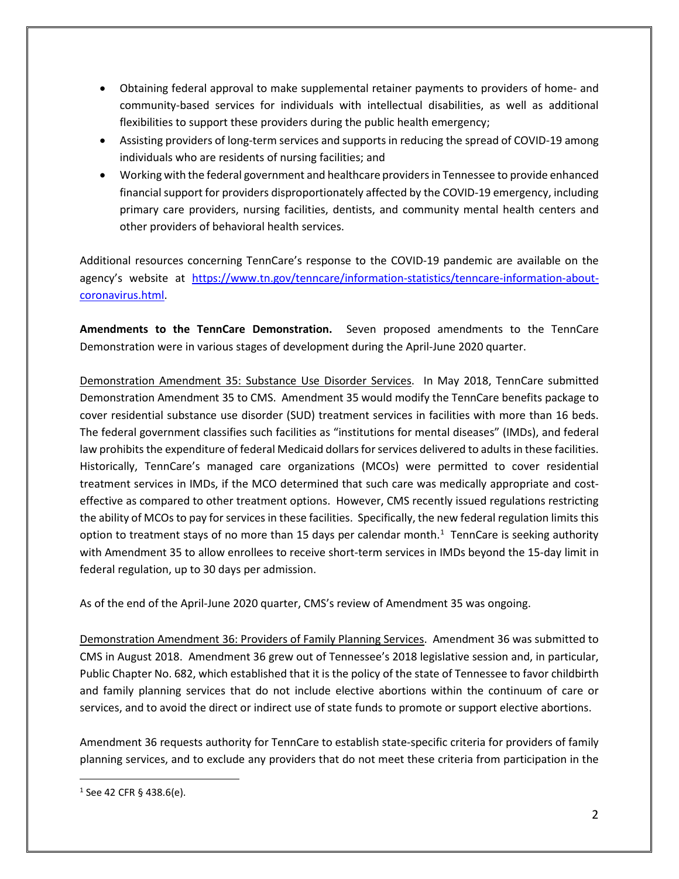- Obtaining federal approval to make supplemental retainer payments to providers of home- and community-based services for individuals with intellectual disabilities, as well as additional flexibilities to support these providers during the public health emergency;
- Assisting providers of long-term services and supports in reducing the spread of COVID-19 among individuals who are residents of nursing facilities; and
- Working with the federal government and healthcare providers in Tennessee to provide enhanced financial support for providers disproportionately affected by the COVID-19 emergency, including primary care providers, nursing facilities, dentists, and community mental health centers and other providers of behavioral health services.

Additional resources concerning TennCare's response to the COVID-19 pandemic are available on the agency's website at [https://www.tn.gov/tenncare/information-statistics/tenncare-information-about](https://www.tn.gov/tenncare/information-statistics/tenncare-information-about-coronavirus.html)[coronavirus.html.](https://www.tn.gov/tenncare/information-statistics/tenncare-information-about-coronavirus.html)

**Amendments to the TennCare Demonstration.** Seven proposed amendments to the TennCare Demonstration were in various stages of development during the April-June 2020 quarter.

Demonstration Amendment 35: Substance Use Disorder Services. In May 2018, TennCare submitted Demonstration Amendment 35 to CMS. Amendment 35 would modify the TennCare benefits package to cover residential substance use disorder (SUD) treatment services in facilities with more than 16 beds. The federal government classifies such facilities as "institutions for mental diseases" (IMDs), and federal law prohibits the expenditure of federal Medicaid dollars for services delivered to adults in these facilities. Historically, TennCare's managed care organizations (MCOs) were permitted to cover residential treatment services in IMDs, if the MCO determined that such care was medically appropriate and costeffective as compared to other treatment options. However, CMS recently issued regulations restricting the ability of MCOs to pay for services in these facilities. Specifically, the new federal regulation limits this option to treatment stays of no more than [1](#page-1-0)5 days per calendar month.<sup>1</sup> TennCare is seeking authority with Amendment 35 to allow enrollees to receive short-term services in IMDs beyond the 15-day limit in federal regulation, up to 30 days per admission.

As of the end of the April-June 2020 quarter, CMS's review of Amendment 35 was ongoing.

Demonstration Amendment 36: Providers of Family Planning Services. Amendment 36 was submitted to CMS in August 2018. Amendment 36 grew out of Tennessee's 2018 legislative session and, in particular, Public Chapter No. 682, which established that it is the policy of the state of Tennessee to favor childbirth and family planning services that do not include elective abortions within the continuum of care or services, and to avoid the direct or indirect use of state funds to promote or support elective abortions.

Amendment 36 requests authority for TennCare to establish state-specific criteria for providers of family planning services, and to exclude any providers that do not meet these criteria from participation in the

<span id="page-1-0"></span> $1$  See 42 CFR § 438.6(e).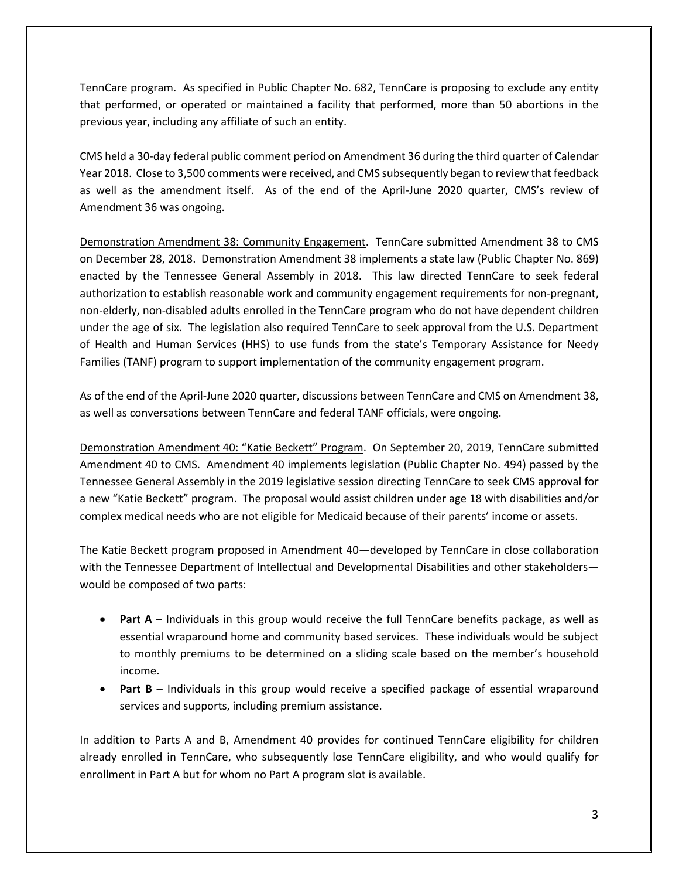TennCare program. As specified in Public Chapter No. 682, TennCare is proposing to exclude any entity that performed, or operated or maintained a facility that performed, more than 50 abortions in the previous year, including any affiliate of such an entity.

CMS held a 30-day federal public comment period on Amendment 36 during the third quarter of Calendar Year 2018. Close to 3,500 comments were received, and CMS subsequently began to review that feedback as well as the amendment itself. As of the end of the April-June 2020 quarter, CMS's review of Amendment 36 was ongoing.

Demonstration Amendment 38: Community Engagement. TennCare submitted Amendment 38 to CMS on December 28, 2018. Demonstration Amendment 38 implements a state law (Public Chapter No. 869) enacted by the Tennessee General Assembly in 2018. This law directed TennCare to seek federal authorization to establish reasonable work and community engagement requirements for non-pregnant, non-elderly, non-disabled adults enrolled in the TennCare program who do not have dependent children under the age of six. The legislation also required TennCare to seek approval from the U.S. Department of Health and Human Services (HHS) to use funds from the state's Temporary Assistance for Needy Families (TANF) program to support implementation of the community engagement program.

As of the end of the April-June 2020 quarter, discussions between TennCare and CMS on Amendment 38, as well as conversations between TennCare and federal TANF officials, were ongoing.

Demonstration Amendment 40: "Katie Beckett" Program. On September 20, 2019, TennCare submitted Amendment 40 to CMS. Amendment 40 implements legislation (Public Chapter No. 494) passed by the Tennessee General Assembly in the 2019 legislative session directing TennCare to seek CMS approval for a new "Katie Beckett" program. The proposal would assist children under age 18 with disabilities and/or complex medical needs who are not eligible for Medicaid because of their parents' income or assets.

The Katie Beckett program proposed in Amendment 40—developed by TennCare in close collaboration with the Tennessee Department of Intellectual and Developmental Disabilities and other stakeholders would be composed of two parts:

- **Part A** Individuals in this group would receive the full TennCare benefits package, as well as essential wraparound home and community based services. These individuals would be subject to monthly premiums to be determined on a sliding scale based on the member's household income.
- **Part B** Individuals in this group would receive a specified package of essential wraparound services and supports, including premium assistance.

In addition to Parts A and B, Amendment 40 provides for continued TennCare eligibility for children already enrolled in TennCare, who subsequently lose TennCare eligibility, and who would qualify for enrollment in Part A but for whom no Part A program slot is available.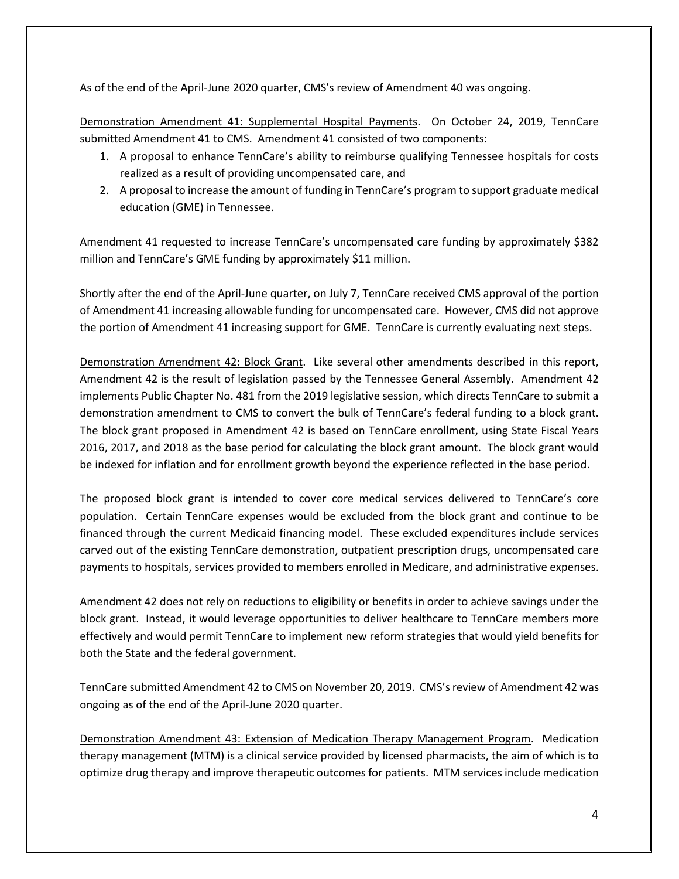As of the end of the April-June 2020 quarter, CMS's review of Amendment 40 was ongoing.

Demonstration Amendment 41: Supplemental Hospital Payments. On October 24, 2019, TennCare submitted Amendment 41 to CMS. Amendment 41 consisted of two components:

- 1. A proposal to enhance TennCare's ability to reimburse qualifying Tennessee hospitals for costs realized as a result of providing uncompensated care, and
- 2. A proposal to increase the amount of funding in TennCare's program to support graduate medical education (GME) in Tennessee.

Amendment 41 requested to increase TennCare's uncompensated care funding by approximately \$382 million and TennCare's GME funding by approximately \$11 million.

Shortly after the end of the April-June quarter, on July 7, TennCare received CMS approval of the portion of Amendment 41 increasing allowable funding for uncompensated care. However, CMS did not approve the portion of Amendment 41 increasing support for GME. TennCare is currently evaluating next steps.

Demonstration Amendment 42: Block Grant. Like several other amendments described in this report, Amendment 42 is the result of legislation passed by the Tennessee General Assembly. Amendment 42 implements Public Chapter No. 481 from the 2019 legislative session, which directs TennCare to submit a demonstration amendment to CMS to convert the bulk of TennCare's federal funding to a block grant. The block grant proposed in Amendment 42 is based on TennCare enrollment, using State Fiscal Years 2016, 2017, and 2018 as the base period for calculating the block grant amount. The block grant would be indexed for inflation and for enrollment growth beyond the experience reflected in the base period.

The proposed block grant is intended to cover core medical services delivered to TennCare's core population. Certain TennCare expenses would be excluded from the block grant and continue to be financed through the current Medicaid financing model. These excluded expenditures include services carved out of the existing TennCare demonstration, outpatient prescription drugs, uncompensated care payments to hospitals, services provided to members enrolled in Medicare, and administrative expenses.

Amendment 42 does not rely on reductions to eligibility or benefits in order to achieve savings under the block grant. Instead, it would leverage opportunities to deliver healthcare to TennCare members more effectively and would permit TennCare to implement new reform strategies that would yield benefits for both the State and the federal government.

TennCare submitted Amendment 42 to CMS on November 20, 2019. CMS's review of Amendment 42 was ongoing as of the end of the April-June 2020 quarter.

Demonstration Amendment 43: Extension of Medication Therapy Management Program. Medication therapy management (MTM) is a clinical service provided by licensed pharmacists, the aim of which is to optimize drug therapy and improve therapeutic outcomes for patients. MTM services include medication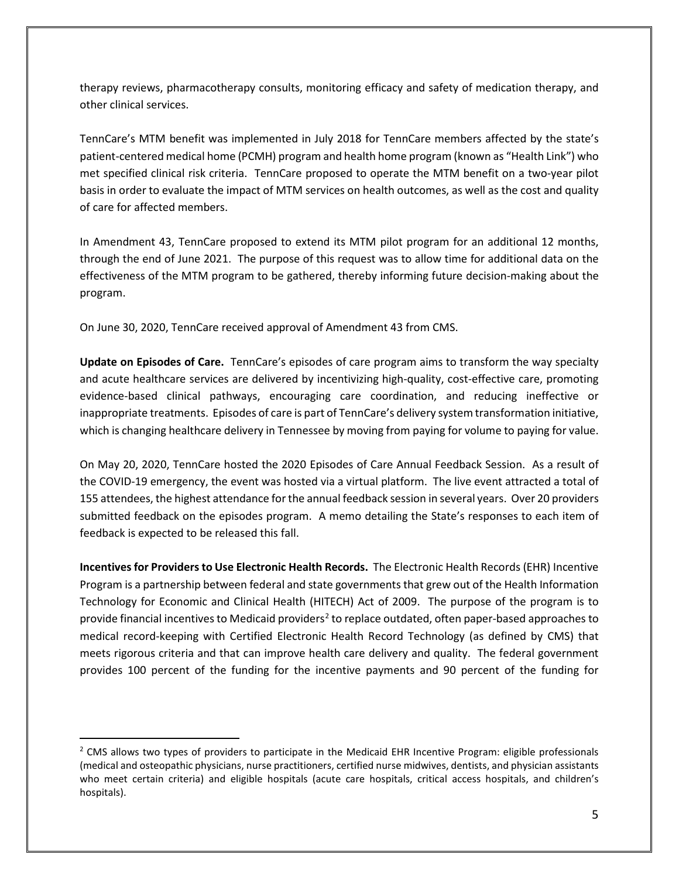therapy reviews, pharmacotherapy consults, monitoring efficacy and safety of medication therapy, and other clinical services.

TennCare's MTM benefit was implemented in July 2018 for TennCare members affected by the state's patient-centered medical home (PCMH) program and health home program (known as "Health Link") who met specified clinical risk criteria. TennCare proposed to operate the MTM benefit on a two-year pilot basis in order to evaluate the impact of MTM services on health outcomes, as well as the cost and quality of care for affected members.

In Amendment 43, TennCare proposed to extend its MTM pilot program for an additional 12 months, through the end of June 2021. The purpose of this request was to allow time for additional data on the effectiveness of the MTM program to be gathered, thereby informing future decision-making about the program.

On June 30, 2020, TennCare received approval of Amendment 43 from CMS.

**Update on Episodes of Care.** TennCare's episodes of care program aims to transform the way specialty and acute healthcare services are delivered by incentivizing high-quality, cost-effective care, promoting evidence-based clinical pathways, encouraging care coordination, and reducing ineffective or inappropriate treatments. Episodes of care is part of TennCare's delivery system transformation initiative, which is changing healthcare delivery in Tennessee by moving from paying for volume to paying for value.

On May 20, 2020, TennCare hosted the 2020 Episodes of Care Annual Feedback Session. As a result of the COVID-19 emergency, the event was hosted via a virtual platform. The live event attracted a total of 155 attendees, the highest attendance for the annual feedback session in several years. Over 20 providers submitted feedback on the episodes program. A memo detailing the State's responses to each item of feedback is expected to be released this fall.

**Incentives for Providers to Use Electronic Health Records.** The Electronic Health Records (EHR) Incentive Program is a partnership between federal and state governments that grew out of the Health Information Technology for Economic and Clinical Health (HITECH) Act of 2009. The purpose of the program is to provide financial incentives to Medicaid providers<sup>[2](#page-4-0)</sup> to replace outdated, often paper-based approaches to medical record-keeping with Certified Electronic Health Record Technology (as defined by CMS) that meets rigorous criteria and that can improve health care delivery and quality. The federal government provides 100 percent of the funding for the incentive payments and 90 percent of the funding for

<span id="page-4-0"></span><sup>&</sup>lt;sup>2</sup> CMS allows two types of providers to participate in the Medicaid EHR Incentive Program: eligible professionals (medical and osteopathic physicians, nurse practitioners, certified nurse midwives, dentists, and physician assistants who meet certain criteria) and eligible hospitals (acute care hospitals, critical access hospitals, and children's hospitals).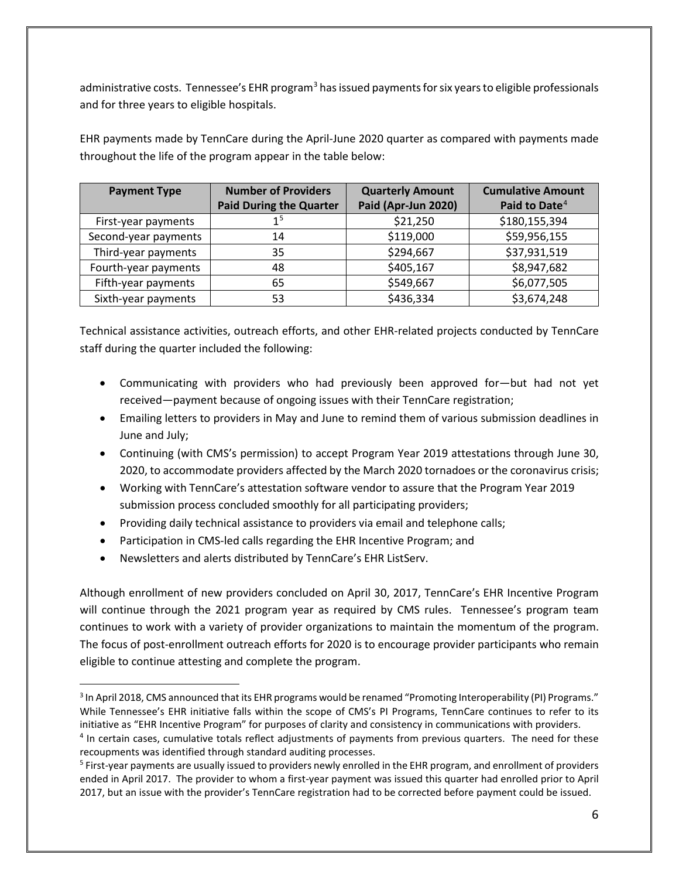administrative costs. Tennessee's EHR program<sup>[3](#page-5-0)</sup> has issued payments for six years to eligible professionals and for three years to eligible hospitals.

EHR payments made by TennCare during the April-June 2020 quarter as compared with payments made throughout the life of the program appear in the table below:

| <b>Payment Type</b>  | <b>Number of Providers</b><br><b>Paid During the Quarter</b> | <b>Quarterly Amount</b><br>Paid (Apr-Jun 2020) | <b>Cumulative Amount</b><br>Paid to Date <sup>4</sup> |
|----------------------|--------------------------------------------------------------|------------------------------------------------|-------------------------------------------------------|
| First-year payments  |                                                              | \$21,250                                       | \$180,155,394                                         |
| Second-year payments | 14                                                           | \$119,000                                      | \$59,956,155                                          |
| Third-year payments  | 35                                                           | \$294,667                                      | \$37,931,519                                          |
| Fourth-year payments | 48                                                           | \$405,167                                      | \$8,947,682                                           |
| Fifth-year payments  | 65                                                           | \$549,667                                      | \$6,077,505                                           |
| Sixth-year payments  | 53                                                           | \$436,334                                      | \$3,674,248                                           |

Technical assistance activities, outreach efforts, and other EHR-related projects conducted by TennCare staff during the quarter included the following:

- Communicating with providers who had previously been approved for—but had not yet received—payment because of ongoing issues with their TennCare registration;
- Emailing letters to providers in May and June to remind them of various submission deadlines in June and July;
- Continuing (with CMS's permission) to accept Program Year 2019 attestations through June 30, 2020, to accommodate providers affected by the March 2020 tornadoes or the coronavirus crisis;
- Working with TennCare's attestation software vendor to assure that the Program Year 2019 submission process concluded smoothly for all participating providers;
- Providing daily technical assistance to providers via email and telephone calls;
- Participation in CMS-led calls regarding the EHR Incentive Program; and
- Newsletters and alerts distributed by TennCare's EHR ListServ.

Although enrollment of new providers concluded on April 30, 2017, TennCare's EHR Incentive Program will continue through the 2021 program year as required by CMS rules. Tennessee's program team continues to work with a variety of provider organizations to maintain the momentum of the program. The focus of post-enrollment outreach efforts for 2020 is to encourage provider participants who remain eligible to continue attesting and complete the program.

<span id="page-5-0"></span><sup>3</sup> In April 2018, CMS announced that its EHR programs would be renamed "Promoting Interoperability (PI) Programs." While Tennessee's EHR initiative falls within the scope of CMS's PI Programs, TennCare continues to refer to its initiative as "EHR Incentive Program" for purposes of clarity and consistency in communications with providers.

<span id="page-5-1"></span><sup>&</sup>lt;sup>4</sup> In certain cases, cumulative totals reflect adjustments of payments from previous quarters. The need for these recoupments was identified through standard auditing processes.

<span id="page-5-2"></span><sup>&</sup>lt;sup>5</sup> First-year payments are usually issued to providers newly enrolled in the EHR program, and enrollment of providers ended in April 2017. The provider to whom a first-year payment was issued this quarter had enrolled prior to April 2017, but an issue with the provider's TennCare registration had to be corrected before payment could be issued.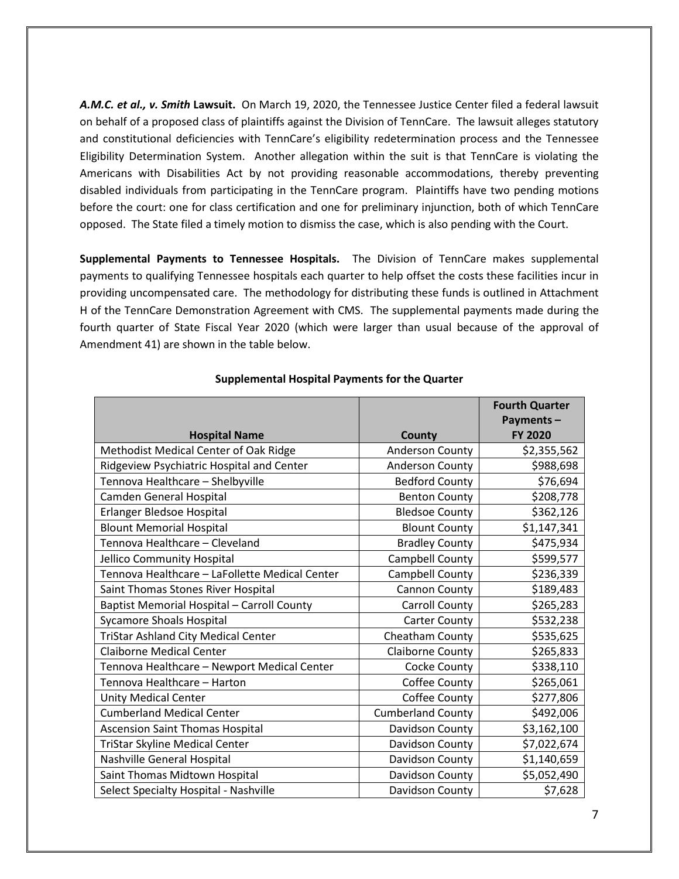*A.M.C. et al., v. Smith* **Lawsuit.** On March 19, 2020, the Tennessee Justice Center filed a federal lawsuit on behalf of a proposed class of plaintiffs against the Division of TennCare. The lawsuit alleges statutory and constitutional deficiencies with TennCare's eligibility redetermination process and the Tennessee Eligibility Determination System. Another allegation within the suit is that TennCare is violating the Americans with Disabilities Act by not providing reasonable accommodations, thereby preventing disabled individuals from participating in the TennCare program. Plaintiffs have two pending motions before the court: one for class certification and one for preliminary injunction, both of which TennCare opposed. The State filed a timely motion to dismiss the case, which is also pending with the Court.

**Supplemental Payments to Tennessee Hospitals.** The Division of TennCare makes supplemental payments to qualifying Tennessee hospitals each quarter to help offset the costs these facilities incur in providing uncompensated care. The methodology for distributing these funds is outlined in Attachment H of the TennCare Demonstration Agreement with CMS. The supplemental payments made during the fourth quarter of State Fiscal Year 2020 (which were larger than usual because of the approval of Amendment 41) are shown in the table below.

|                                                |                          | <b>Fourth Quarter</b><br>Payments- |
|------------------------------------------------|--------------------------|------------------------------------|
| <b>Hospital Name</b>                           | County                   | <b>FY 2020</b>                     |
| Methodist Medical Center of Oak Ridge          | <b>Anderson County</b>   | \$2,355,562                        |
| Ridgeview Psychiatric Hospital and Center      | <b>Anderson County</b>   | \$988,698                          |
| Tennova Healthcare - Shelbyville               | <b>Bedford County</b>    | \$76,694                           |
| Camden General Hospital                        | <b>Benton County</b>     | \$208,778                          |
| Erlanger Bledsoe Hospital                      | <b>Bledsoe County</b>    | \$362,126                          |
| <b>Blount Memorial Hospital</b>                | <b>Blount County</b>     | \$1,147,341                        |
| Tennova Healthcare - Cleveland                 | <b>Bradley County</b>    | \$475,934                          |
| Jellico Community Hospital                     | Campbell County          | \$599,577                          |
| Tennova Healthcare - LaFollette Medical Center | Campbell County          | \$236,339                          |
| Saint Thomas Stones River Hospital             | Cannon County            | \$189,483                          |
| Baptist Memorial Hospital - Carroll County     | Carroll County           | \$265,283                          |
| <b>Sycamore Shoals Hospital</b>                | <b>Carter County</b>     | \$532,238                          |
| <b>TriStar Ashland City Medical Center</b>     | Cheatham County          | \$535,625                          |
| <b>Claiborne Medical Center</b>                | Claiborne County         | \$265,833                          |
| Tennova Healthcare - Newport Medical Center    | Cocke County             | \$338,110                          |
| Tennova Healthcare - Harton                    | Coffee County            | \$265,061                          |
| <b>Unity Medical Center</b>                    | Coffee County            | \$277,806                          |
| <b>Cumberland Medical Center</b>               | <b>Cumberland County</b> | \$492,006                          |
| <b>Ascension Saint Thomas Hospital</b>         | Davidson County          | \$3,162,100                        |
| <b>TriStar Skyline Medical Center</b>          | Davidson County          | \$7,022,674                        |
| Nashville General Hospital                     | Davidson County          | \$1,140,659                        |
| Saint Thomas Midtown Hospital                  | Davidson County          | \$5,052,490                        |
| Select Specialty Hospital - Nashville          | Davidson County          | \$7,628                            |

#### **Supplemental Hospital Payments for the Quarter**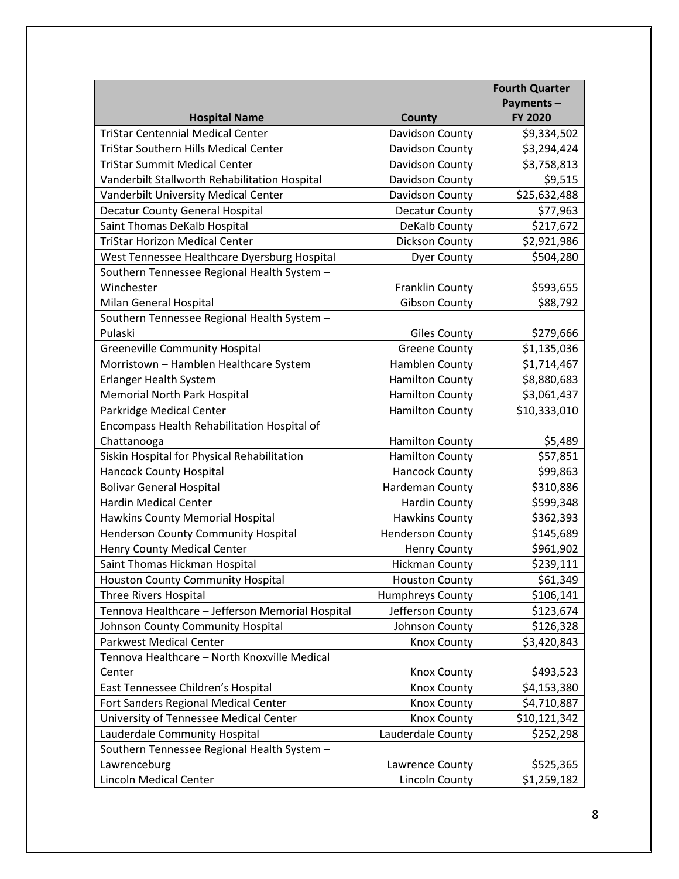|                                                                                          |                         | <b>Fourth Quarter</b> |
|------------------------------------------------------------------------------------------|-------------------------|-----------------------|
|                                                                                          |                         | Payments-             |
| <b>Hospital Name</b>                                                                     | <b>County</b>           | FY 2020               |
| <b>TriStar Centennial Medical Center</b><br><b>TriStar Southern Hills Medical Center</b> | Davidson County         | \$9,334,502           |
|                                                                                          | Davidson County         | \$3,294,424           |
| <b>TriStar Summit Medical Center</b>                                                     | Davidson County         | \$3,758,813           |
| Vanderbilt Stallworth Rehabilitation Hospital                                            | Davidson County         | \$9,515               |
| Vanderbilt University Medical Center                                                     | Davidson County         | \$25,632,488          |
| Decatur County General Hospital                                                          | <b>Decatur County</b>   | \$77,963              |
| Saint Thomas DeKalb Hospital                                                             | DeKalb County           | \$217,672             |
| <b>TriStar Horizon Medical Center</b>                                                    | Dickson County          | \$2,921,986           |
| West Tennessee Healthcare Dyersburg Hospital                                             | <b>Dyer County</b>      | \$504,280             |
| Southern Tennessee Regional Health System -                                              |                         |                       |
| Winchester                                                                               | Franklin County         | \$593,655             |
| Milan General Hospital                                                                   | <b>Gibson County</b>    | \$88,792              |
| Southern Tennessee Regional Health System -                                              |                         |                       |
| Pulaski                                                                                  | <b>Giles County</b>     | \$279,666             |
| <b>Greeneville Community Hospital</b>                                                    | <b>Greene County</b>    | \$1,135,036           |
| Morristown - Hamblen Healthcare System                                                   | Hamblen County          | \$1,714,467           |
| Erlanger Health System                                                                   | <b>Hamilton County</b>  | \$8,880,683           |
| <b>Memorial North Park Hospital</b>                                                      | <b>Hamilton County</b>  | \$3,061,437           |
| Parkridge Medical Center                                                                 | <b>Hamilton County</b>  | \$10,333,010          |
| Encompass Health Rehabilitation Hospital of                                              |                         |                       |
| Chattanooga                                                                              | <b>Hamilton County</b>  | \$5,489               |
| Siskin Hospital for Physical Rehabilitation                                              | <b>Hamilton County</b>  | \$57,851              |
| <b>Hancock County Hospital</b>                                                           | <b>Hancock County</b>   | \$99,863              |
| <b>Bolivar General Hospital</b>                                                          | Hardeman County         | \$310,886             |
| <b>Hardin Medical Center</b>                                                             | <b>Hardin County</b>    | \$599,348             |
| Hawkins County Memorial Hospital                                                         | <b>Hawkins County</b>   | \$362,393             |
| Henderson County Community Hospital                                                      | <b>Henderson County</b> | \$145,689             |
| <b>Henry County Medical Center</b>                                                       | <b>Henry County</b>     | \$961,902             |
| Saint Thomas Hickman Hospital                                                            | <b>Hickman County</b>   | \$239,111             |
| <b>Houston County Community Hospital</b>                                                 | <b>Houston County</b>   | \$61,349              |
| <b>Three Rivers Hospital</b>                                                             | <b>Humphreys County</b> | \$106,141             |
| Tennova Healthcare - Jefferson Memorial Hospital                                         | Jefferson County        | \$123,674             |
| Johnson County Community Hospital                                                        | Johnson County          | \$126,328             |
| <b>Parkwest Medical Center</b>                                                           | <b>Knox County</b>      | \$3,420,843           |
| Tennova Healthcare - North Knoxville Medical                                             |                         |                       |
| Center                                                                                   | Knox County             | \$493,523             |
| East Tennessee Children's Hospital                                                       | <b>Knox County</b>      | \$4,153,380           |
| Fort Sanders Regional Medical Center                                                     | <b>Knox County</b>      | \$4,710,887           |
| University of Tennessee Medical Center                                                   | <b>Knox County</b>      | \$10,121,342          |
| Lauderdale Community Hospital                                                            | Lauderdale County       | \$252,298             |
| Southern Tennessee Regional Health System -                                              |                         |                       |
| Lawrenceburg                                                                             | Lawrence County         | \$525,365             |
| Lincoln Medical Center                                                                   | Lincoln County          | \$1,259,182           |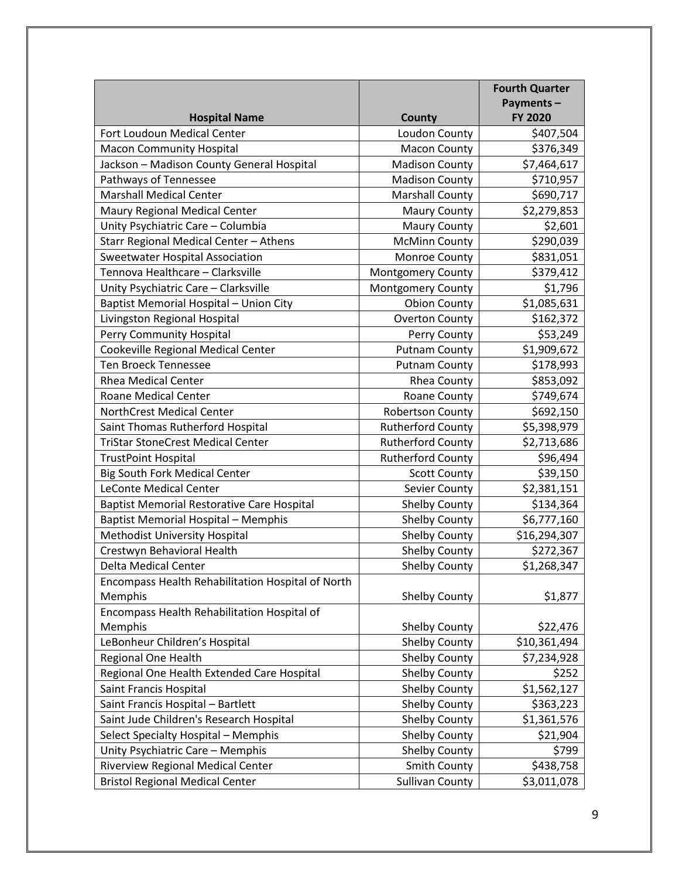|                                                   |                          | <b>Fourth Quarter</b> |
|---------------------------------------------------|--------------------------|-----------------------|
|                                                   |                          | Payments-             |
| <b>Hospital Name</b>                              | <b>County</b>            | FY 2020               |
| Fort Loudoun Medical Center                       | Loudon County            | \$407,504             |
| <b>Macon Community Hospital</b>                   | <b>Macon County</b>      | \$376,349             |
| Jackson - Madison County General Hospital         | <b>Madison County</b>    | \$7,464,617           |
| Pathways of Tennessee                             | <b>Madison County</b>    | \$710,957             |
| <b>Marshall Medical Center</b>                    | <b>Marshall County</b>   | \$690,717             |
| Maury Regional Medical Center                     | <b>Maury County</b>      | \$2,279,853           |
| Unity Psychiatric Care - Columbia                 | <b>Maury County</b>      | \$2,601               |
| Starr Regional Medical Center - Athens            | <b>McMinn County</b>     | \$290,039             |
| Sweetwater Hospital Association                   | Monroe County            | \$831,051             |
| Tennova Healthcare - Clarksville                  | Montgomery County        | \$379,412             |
| Unity Psychiatric Care - Clarksville              | <b>Montgomery County</b> | \$1,796               |
| Baptist Memorial Hospital - Union City            | <b>Obion County</b>      | \$1,085,631           |
| Livingston Regional Hospital                      | <b>Overton County</b>    | \$162,372             |
| Perry Community Hospital                          | Perry County             | \$53,249              |
| Cookeville Regional Medical Center                | <b>Putnam County</b>     | \$1,909,672           |
| <b>Ten Broeck Tennessee</b>                       | <b>Putnam County</b>     | \$178,993             |
| <b>Rhea Medical Center</b>                        | <b>Rhea County</b>       | \$853,092             |
| <b>Roane Medical Center</b>                       | Roane County             | \$749,674             |
| <b>NorthCrest Medical Center</b>                  | <b>Robertson County</b>  | \$692,150             |
| Saint Thomas Rutherford Hospital                  | <b>Rutherford County</b> | \$5,398,979           |
| <b>TriStar StoneCrest Medical Center</b>          | <b>Rutherford County</b> | \$2,713,686           |
| <b>TrustPoint Hospital</b>                        | <b>Rutherford County</b> | \$96,494              |
| <b>Big South Fork Medical Center</b>              | <b>Scott County</b>      | \$39,150              |
| <b>LeConte Medical Center</b>                     | Sevier County            | \$2,381,151           |
| <b>Baptist Memorial Restorative Care Hospital</b> | <b>Shelby County</b>     | \$134,364             |
| <b>Baptist Memorial Hospital - Memphis</b>        | <b>Shelby County</b>     | \$6,777,160           |
| Methodist University Hospital                     | <b>Shelby County</b>     | \$16,294,307          |
| Crestwyn Behavioral Health                        | <b>Shelby County</b>     | \$272,367             |
| Delta Medical Center                              | <b>Shelby County</b>     | \$1,268,347           |
| Encompass Health Rehabilitation Hospital of North |                          |                       |
| Memphis                                           | <b>Shelby County</b>     | \$1,877               |
| Encompass Health Rehabilitation Hospital of       |                          |                       |
| Memphis                                           | <b>Shelby County</b>     | \$22,476              |
| LeBonheur Children's Hospital                     | <b>Shelby County</b>     | \$10,361,494          |
| Regional One Health                               | Shelby County            | \$7,234,928           |
| Regional One Health Extended Care Hospital        | <b>Shelby County</b>     | \$252                 |
| Saint Francis Hospital                            | Shelby County            | \$1,562,127           |
| Saint Francis Hospital - Bartlett                 | <b>Shelby County</b>     | \$363,223             |
| Saint Jude Children's Research Hospital           | <b>Shelby County</b>     | \$1,361,576           |
| Select Specialty Hospital - Memphis               | <b>Shelby County</b>     | \$21,904              |
| Unity Psychiatric Care - Memphis                  | <b>Shelby County</b>     | \$799                 |
| Riverview Regional Medical Center                 | <b>Smith County</b>      | \$438,758             |
| <b>Bristol Regional Medical Center</b>            | <b>Sullivan County</b>   | \$3,011,078           |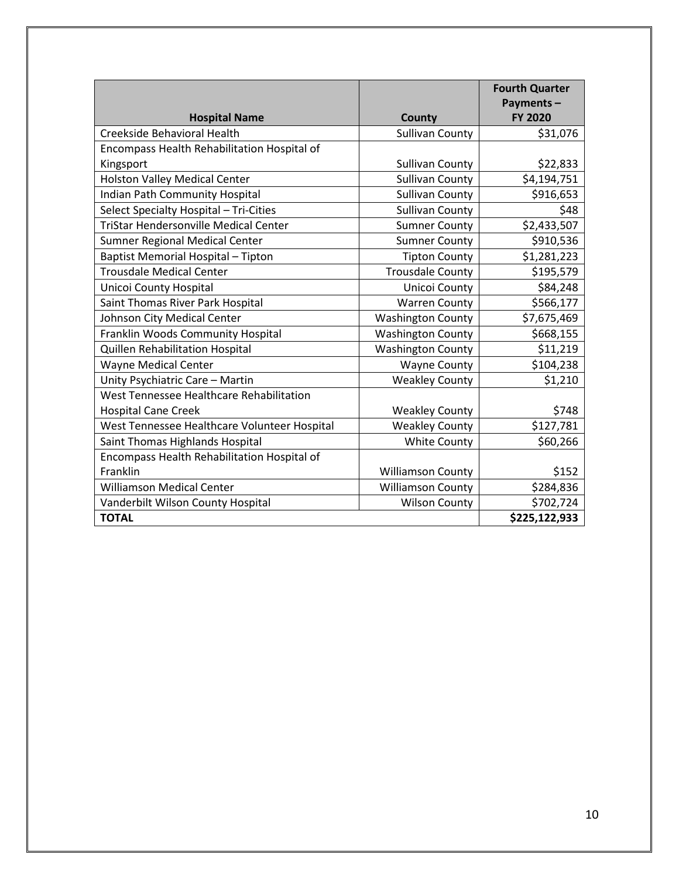|                                              |                          | <b>Fourth Quarter</b><br>Payments- |
|----------------------------------------------|--------------------------|------------------------------------|
| <b>Hospital Name</b>                         | County                   | <b>FY 2020</b>                     |
| Creekside Behavioral Health                  | <b>Sullivan County</b>   | \$31,076                           |
| Encompass Health Rehabilitation Hospital of  |                          |                                    |
| Kingsport                                    | <b>Sullivan County</b>   | \$22,833                           |
| <b>Holston Valley Medical Center</b>         | <b>Sullivan County</b>   | \$4,194,751                        |
| Indian Path Community Hospital               | <b>Sullivan County</b>   | \$916,653                          |
| Select Specialty Hospital - Tri-Cities       | <b>Sullivan County</b>   | \$48                               |
| <b>TriStar Hendersonville Medical Center</b> | <b>Sumner County</b>     | \$2,433,507                        |
| Sumner Regional Medical Center               | <b>Sumner County</b>     | \$910,536                          |
| <b>Baptist Memorial Hospital - Tipton</b>    | <b>Tipton County</b>     | \$1,281,223                        |
| <b>Trousdale Medical Center</b>              | <b>Trousdale County</b>  | \$195,579                          |
| <b>Unicoi County Hospital</b>                | Unicoi County            | \$84,248                           |
| Saint Thomas River Park Hospital             | <b>Warren County</b>     | \$566,177                          |
| Johnson City Medical Center                  | <b>Washington County</b> | \$7,675,469                        |
| Franklin Woods Community Hospital            | <b>Washington County</b> | \$668,155                          |
| Quillen Rehabilitation Hospital              | <b>Washington County</b> | \$11,219                           |
| Wayne Medical Center                         | <b>Wayne County</b>      | \$104,238                          |
| Unity Psychiatric Care - Martin              | <b>Weakley County</b>    | \$1,210                            |
| West Tennessee Healthcare Rehabilitation     |                          |                                    |
| <b>Hospital Cane Creek</b>                   | <b>Weakley County</b>    | \$748                              |
| West Tennessee Healthcare Volunteer Hospital | <b>Weakley County</b>    | \$127,781                          |
| Saint Thomas Highlands Hospital              | <b>White County</b>      | \$60,266                           |
| Encompass Health Rehabilitation Hospital of  |                          |                                    |
| Franklin                                     | <b>Williamson County</b> | \$152                              |
| <b>Williamson Medical Center</b>             | <b>Williamson County</b> | \$284,836                          |
| Vanderbilt Wilson County Hospital            | <b>Wilson County</b>     | \$702,724                          |
| <b>TOTAL</b>                                 |                          | \$225,122,933                      |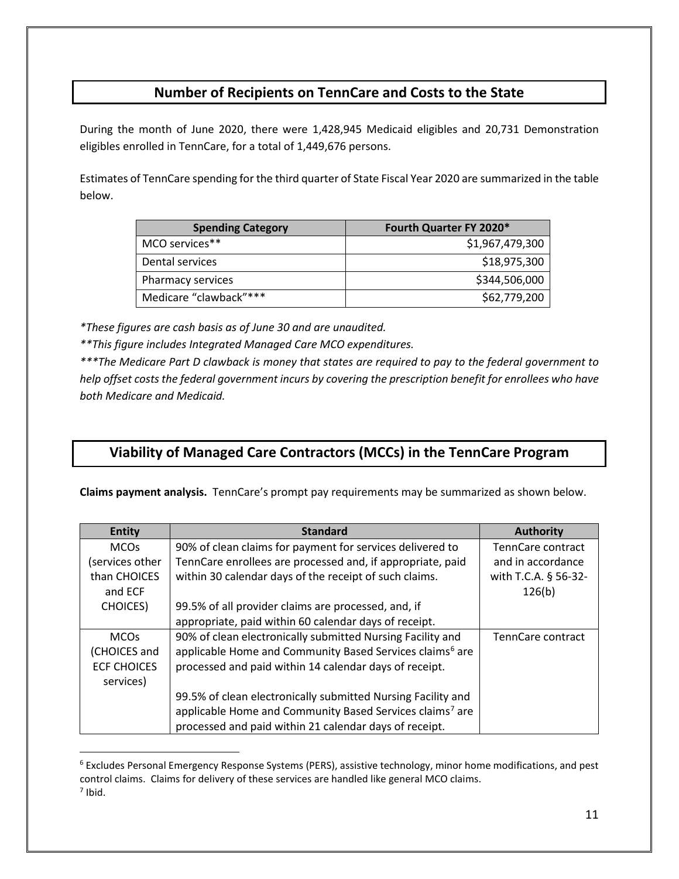## **Number of Recipients on TennCare and Costs to the State**

During the month of June 2020, there were 1,428,945 Medicaid eligibles and 20,731 Demonstration eligibles enrolled in TennCare, for a total of 1,449,676 persons.

Estimates of TennCare spending for the third quarter of State Fiscal Year 2020 are summarized in the table below.

| <b>Spending Category</b> | Fourth Quarter FY 2020* |
|--------------------------|-------------------------|
| MCO services**           | \$1,967,479,300         |
| Dental services          | \$18,975,300            |
| Pharmacy services        | \$344,506,000           |
| Medicare "clawback"***   | \$62,779,200            |

*\*These figures are cash basis as of June 30 and are unaudited.*

*\*\*This figure includes Integrated Managed Care MCO expenditures.*

*\*\*\*The Medicare Part D clawback is money that states are required to pay to the federal government to help offset costs the federal government incurs by covering the prescription benefit for enrollees who have both Medicare and Medicaid.*

## **Viability of Managed Care Contractors (MCCs) in the TennCare Program**

**Claims payment analysis.** TennCare's prompt pay requirements may be summarized as shown below.

| <b>Entity</b>          | <b>Standard</b>                                                      | <b>Authority</b>         |
|------------------------|----------------------------------------------------------------------|--------------------------|
| <b>MCOs</b>            | 90% of clean claims for payment for services delivered to            | TennCare contract        |
| services other         | TennCare enrollees are processed and, if appropriate, paid           | and in accordance        |
| than CHOICES           | within 30 calendar days of the receipt of such claims.               | with T.C.A. § 56-32-     |
| and ECF                |                                                                      | 126(b)                   |
| <b>CHOICES</b> )       | 99.5% of all provider claims are processed, and, if                  |                          |
|                        | appropriate, paid within 60 calendar days of receipt.                |                          |
| <b>MCO<sub>s</sub></b> | 90% of clean electronically submitted Nursing Facility and           | <b>TennCare contract</b> |
| (CHOICES and           | applicable Home and Community Based Services claims <sup>6</sup> are |                          |
| <b>ECF CHOICES</b>     | processed and paid within 14 calendar days of receipt.               |                          |
| services)              |                                                                      |                          |
|                        | 99.5% of clean electronically submitted Nursing Facility and         |                          |
|                        | applicable Home and Community Based Services claims <sup>7</sup> are |                          |
|                        | processed and paid within 21 calendar days of receipt.               |                          |

<span id="page-10-1"></span><span id="page-10-0"></span><sup>6</sup> Excludes Personal Emergency Response Systems (PERS), assistive technology, minor home modifications, and pest control claims. Claims for delivery of these services are handled like general MCO claims. <sup>7</sup> Ibid.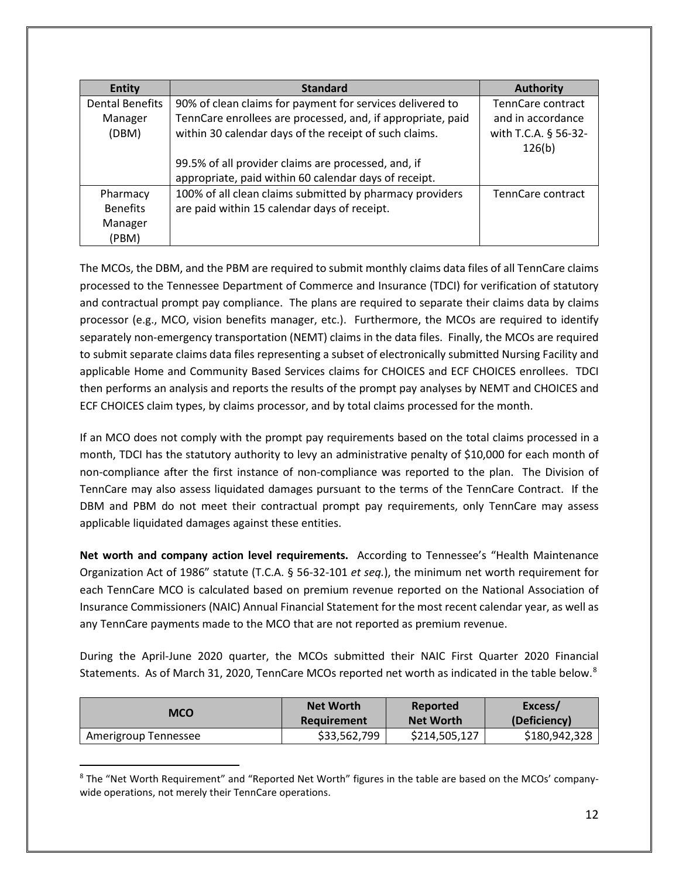| <b>Entity</b>          | <b>Standard</b>                                             | <b>Authority</b>     |
|------------------------|-------------------------------------------------------------|----------------------|
| <b>Dental Benefits</b> | 90% of clean claims for payment for services delivered to   | TennCare contract    |
| Manager                | TennCare enrollees are processed, and, if appropriate, paid | and in accordance    |
| (DBM)                  | within 30 calendar days of the receipt of such claims.      | with T.C.A. § 56-32- |
|                        |                                                             | 126(b)               |
|                        | 99.5% of all provider claims are processed, and, if         |                      |
|                        | appropriate, paid within 60 calendar days of receipt.       |                      |
| Pharmacy               | 100% of all clean claims submitted by pharmacy providers    | TennCare contract    |
| <b>Benefits</b>        | are paid within 15 calendar days of receipt.                |                      |
| Manager                |                                                             |                      |
| (PBM)                  |                                                             |                      |

The MCOs, the DBM, and the PBM are required to submit monthly claims data files of all TennCare claims processed to the Tennessee Department of Commerce and Insurance (TDCI) for verification of statutory and contractual prompt pay compliance. The plans are required to separate their claims data by claims processor (e.g., MCO, vision benefits manager, etc.). Furthermore, the MCOs are required to identify separately non-emergency transportation (NEMT) claims in the data files. Finally, the MCOs are required to submit separate claims data files representing a subset of electronically submitted Nursing Facility and applicable Home and Community Based Services claims for CHOICES and ECF CHOICES enrollees. TDCI then performs an analysis and reports the results of the prompt pay analyses by NEMT and CHOICES and ECF CHOICES claim types, by claims processor, and by total claims processed for the month.

If an MCO does not comply with the prompt pay requirements based on the total claims processed in a month, TDCI has the statutory authority to levy an administrative penalty of \$10,000 for each month of non-compliance after the first instance of non-compliance was reported to the plan. The Division of TennCare may also assess liquidated damages pursuant to the terms of the TennCare Contract. If the DBM and PBM do not meet their contractual prompt pay requirements, only TennCare may assess applicable liquidated damages against these entities.

**Net worth and company action level requirements.** According to Tennessee's "Health Maintenance Organization Act of 1986" statute (T.C.A. § 56-32-101 *et seq.*), the minimum net worth requirement for each TennCare MCO is calculated based on premium revenue reported on the National Association of Insurance Commissioners (NAIC) Annual Financial Statement for the most recent calendar year, as well as any TennCare payments made to the MCO that are not reported as premium revenue.

During the April-June 2020 quarter, the MCOs submitted their NAIC First Quarter 2020 Financial Statements. As of March 31, 2020, TennCare MCOs reported net worth as indicated in the table below.<sup>[8](#page-11-0)</sup>

| <b>MCO</b>           | <b>Net Worth</b> | Reported         | Excess/       |
|----------------------|------------------|------------------|---------------|
|                      | Requirement      | <b>Net Worth</b> | (Deficiency)  |
| Amerigroup Tennessee | \$33,562,799     | \$214,505,127    | \$180,942,328 |

<span id="page-11-0"></span><sup>8</sup> The "Net Worth Requirement" and "Reported Net Worth" figures in the table are based on the MCOs' companywide operations, not merely their TennCare operations.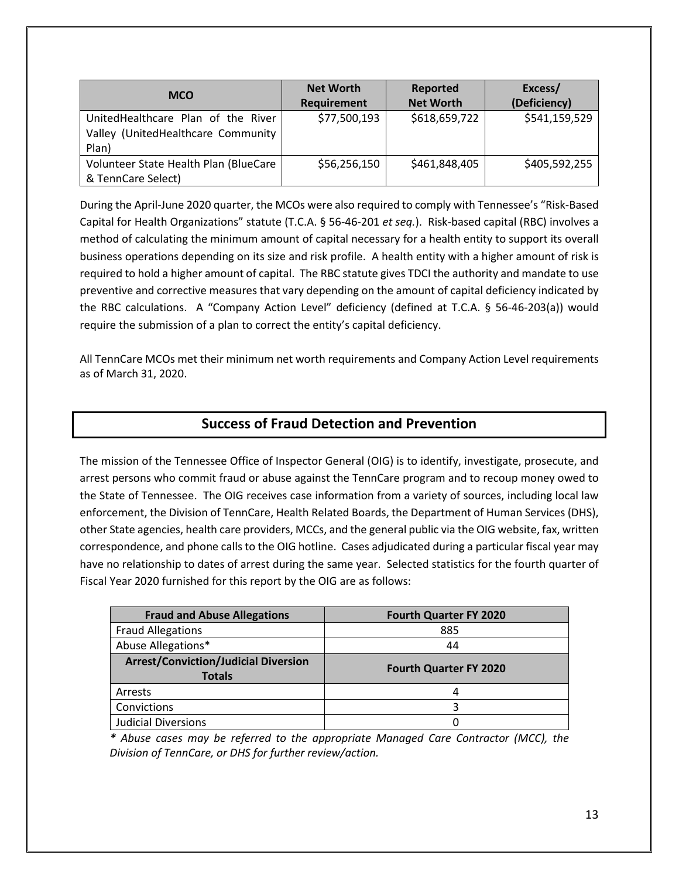| <b>MCO</b>                            | <b>Net Worth</b>   | <b>Reported</b>  | Excess/       |
|---------------------------------------|--------------------|------------------|---------------|
|                                       | <b>Requirement</b> | <b>Net Worth</b> | (Deficiency)  |
| UnitedHealthcare Plan of the River    | \$77,500,193       | \$618,659,722    | \$541,159,529 |
| Valley (UnitedHealthcare Community    |                    |                  |               |
| Plan)                                 |                    |                  |               |
| Volunteer State Health Plan (BlueCare | \$56,256,150       | \$461,848,405    | \$405,592,255 |
| & TennCare Select)                    |                    |                  |               |

During the April-June 2020 quarter, the MCOs were also required to comply with Tennessee's "Risk-Based Capital for Health Organizations" statute (T.C.A. § 56-46-201 *et seq.*). Risk-based capital (RBC) involves a method of calculating the minimum amount of capital necessary for a health entity to support its overall business operations depending on its size and risk profile. A health entity with a higher amount of risk is required to hold a higher amount of capital. The RBC statute gives TDCI the authority and mandate to use preventive and corrective measures that vary depending on the amount of capital deficiency indicated by the RBC calculations. A "Company Action Level" deficiency (defined at T.C.A. § 56-46-203(a)) would require the submission of a plan to correct the entity's capital deficiency.

All TennCare MCOs met their minimum net worth requirements and Company Action Level requirements as of March 31, 2020.

## **Success of Fraud Detection and Prevention**

The mission of the Tennessee Office of Inspector General (OIG) is to identify, investigate, prosecute, and arrest persons who commit fraud or abuse against the TennCare program and to recoup money owed to the State of Tennessee.The OIG receives case information from a variety of sources, including local law enforcement, the Division of TennCare, Health Related Boards, the Department of Human Services (DHS), other State agencies, health care providers, MCCs, and the general public via the OIG website, fax, written correspondence, and phone calls to the OIG hotline. Cases adjudicated during a particular fiscal year may have no relationship to dates of arrest during the same year. Selected statistics for the fourth quarter of Fiscal Year 2020 furnished for this report by the OIG are as follows:

| <b>Fraud and Abuse Allegations</b>                           | <b>Fourth Quarter FY 2020</b> |
|--------------------------------------------------------------|-------------------------------|
| <b>Fraud Allegations</b>                                     | 885                           |
| Abuse Allegations*                                           | 44                            |
| <b>Arrest/Conviction/Judicial Diversion</b><br><b>Totals</b> | <b>Fourth Quarter FY 2020</b> |
| Arrests                                                      | 4                             |
| Convictions                                                  | 3                             |
| <b>Judicial Diversions</b>                                   |                               |

*\* Abuse cases may be referred to the appropriate Managed Care Contractor (MCC), the Division of TennCare, or DHS for further review/action.*